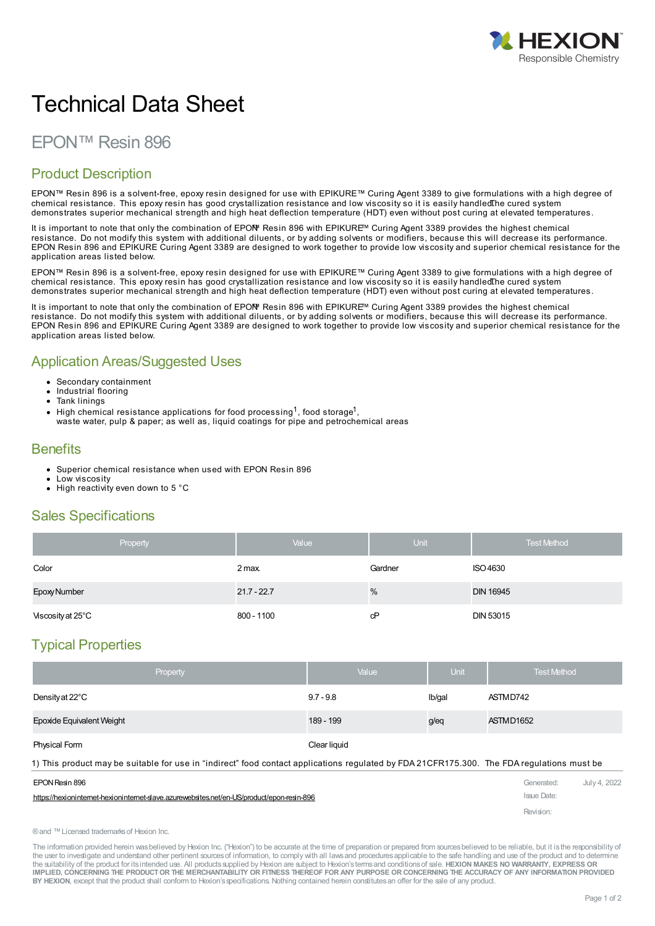

# Technical Data Sheet

## EPON™ Resin 896

## Product Description

EPON™ Resin 896 is a solvent-free, epoxy resin designed for use with EPIKURE™ Curing Agent 3389 to give formulations with a high degree of chemical resistance. This epoxy resin has good crystallization resistance and low viscosity so it is easily handled The cured system demonstrates superior mechanical strength and high heat deflection temperature (HDT) even without post curing at elevated temperatures.

It is important to note that only the combination of EPOM Resin 896 with EPIKURE™ Curing Agent 3389 provides the highest chemical resistance. Do not modify this system with additional diluents, or by adding solvents or modifiers, because this will decrease its performance. EPON Resin 896 and EPIKURE Curing Agent 3389 are designed to work together to provide low viscosity and superior chemical resistance for the application areas listed below.

EPON™ Resin 896 is a solvent-free, epoxy resin designed for use with EPIKURE™ Curing Agent 3389 to give formulations with a high degree of chemical resistance. This epoxy resin has good crystallization resistance and low viscosity so it is easily handled The cured system demonstrates superior mechanical strength and high heat deflection temperature (HDT) even without post curing at elevated temperatures.

It is important to note that only the combination of EPOM Resin 896 with EPIKURE<sup>™</sup> Curing Agent 3389 provides the highest chemical resistance. Do not modify this system with additional diluents, or by adding solvents or modifiers, because this will decrease its performance. EPON Resin 896 and EPIKURE Curing Agent 3389 are designed to work together to provide low viscosity and superior chemical resistance for the application areas listed below.

#### Application Areas/Suggested Uses

- Secondary containment
- Industrial flooring
- Tank linings
- High chemical resistance applications for food processing  $^1$ , food storage $^1$ ,
- waste water, pulp & paper; as well as, liquid coatings for pipe and petrochemical areas

#### **Benefits**

- Superior chemical resistance when used with EPON Resin 896
- Low viscosity
- $\bullet$  High reactivity even down to 5 °C

## Sales Specifications

| Property          | Value         | Unit'   | <b>Test Method</b> |
|-------------------|---------------|---------|--------------------|
| Color             | 2 max         | Gardner | ISO 4630           |
| Epoxy Number      | $21.7 - 22.7$ | %       | <b>DIN 16945</b>   |
| Viscosity at 25°C | 800 - 1100    | cP      | DIN 53015          |

## Typical Properties

| <b>Property</b>                                                                                                                            | Value        | <b>Unit</b> | <b>Test Method</b> |
|--------------------------------------------------------------------------------------------------------------------------------------------|--------------|-------------|--------------------|
| Density at 22°C                                                                                                                            | $9.7 - 9.8$  | Ib/gal      | ASTMD742           |
| Epoxide Equivalent Weight                                                                                                                  | 189 - 199    | g/eq        | ASTMD1652          |
| <b>Physical Form</b>                                                                                                                       | Clear liquid |             |                    |
| 1) This product may be suitable for use in "indirect" food contact applications regulated by FDA 21CFR175.300. The FDA regulations must be |              |             |                    |

| EPON Resin 896                                                                             | Generated:  | July 4, 2022 |
|--------------------------------------------------------------------------------------------|-------------|--------------|
| https://hexioninternet-hexioninternet-slave.azurewebsites.net/en-US/product/epon-resin-896 | Issue Date: |              |
|                                                                                            | Revision:   |              |

®and ™Licensed trademarksof Hexion Inc.

The information provided herein was believed by Hexion Inc. ("Hexion") to be accurate at the time of preparation or prepared from sources believed to be reliable, but it is the responsibility of the user to investigate and understand other pertinent sources of information, to comply with all laws and procedures applicable to the safe handling and use of the product and to determine the suitability of the product for itsintended use. All productssupplied by Hexion are subject to Hexion'stermsand conditionsof sale. **HEXION MAKES NO WARRANTY, EXPRESS OR** IMPLIED, CONCERNING THE PRODUCT OR THE MERCHANTABILITY OR FITNESS THEREOF FOR ANY PURPOSE OR CONCERNING THE ACCURACY OF ANY INFORMATION PROVIDED **BY HEXION**, except that the product shall conform to Hexion'sspecifications. Nothing contained herein constitutesan offer for the sale of any product.